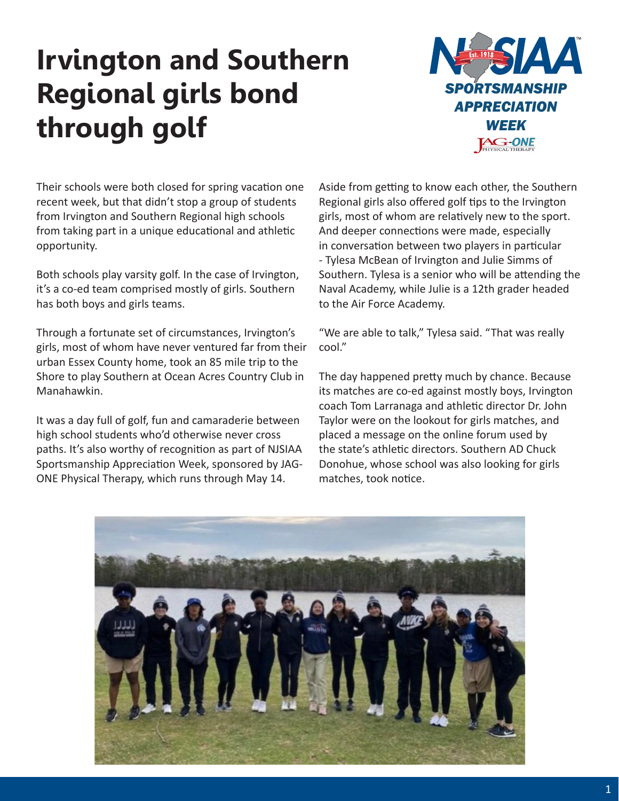## **Irvington and Southern Regional girls bond through golf**



Their schools were both closed for spring vacation one recent week, but that didn't stop a group of students from Irvington and Southern Regional high schools from taking part in a unique educational and athletic opportunity.

Both schools play varsity golf. In the case of Irvington, it's a co-ed team comprised mostly of girls. Southern has both boys and girls teams.

Through a fortunate set of circumstances, Irvington's girls, most of whom have never ventured far from their urban Essex County home, took an 85 mile trip to the Shore to play Southern at Ocean Acres Country Club in Manahawkin.

It was a day full of golf, fun and camaraderie between high school students who'd otherwise never cross paths. It's also worthy of recognition as part of NJSIAA Sportsmanship Appreciation Week, sponsored by JAG-ONE Physical Therapy, which runs through May 14.

Aside from getting to know each other, the Southern Regional girls also offered golf tips to the Irvington girls, most of whom are relatively new to the sport. And deeper connections were made, especially in conversation between two players in particular - Tylesa McBean of Irvington and Julie Simms of Southern. Tylesa is a senior who will be attending the Naval Academy, while Julie is a 12th grader headed to the Air Force Academy.

"We are able to talk," Tylesa said. "That was really cool."

The day happened pretty much by chance. Because its matches are co-ed against mostly boys, Irvington coach Tom Larranaga and athletic director Dr. John Taylor were on the lookout for girls matches, and placed a message on the online forum used by the state's athletic directors. Southern AD Chuck Donohue, whose school was also looking for girls matches, took notice.

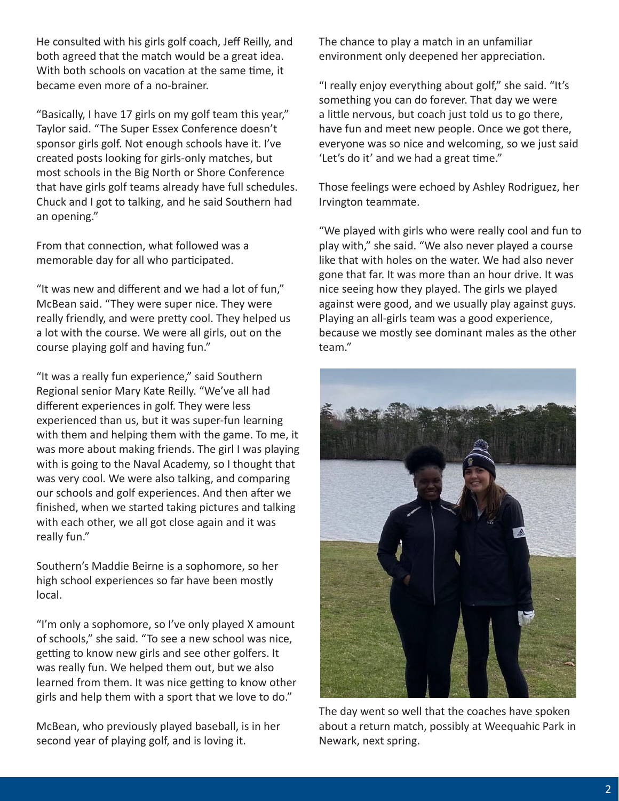He consulted with his girls golf coach, Jeff Reilly, and both agreed that the match would be a great idea. With both schools on vacation at the same time, it became even more of a no-brainer.

"Basically, I have 17 girls on my golf team this year," Taylor said. "The Super Essex Conference doesn't sponsor girls golf. Not enough schools have it. I've created posts looking for girls-only matches, but most schools in the Big North or Shore Conference that have girls golf teams already have full schedules. Chuck and I got to talking, and he said Southern had an opening."

From that connection, what followed was a memorable day for all who participated.

"It was new and different and we had a lot of fun," McBean said. "They were super nice. They were really friendly, and were pretty cool. They helped us a lot with the course. We were all girls, out on the course playing golf and having fun."

"It was a really fun experience," said Southern Regional senior Mary Kate Reilly. "We've all had different experiences in golf. They were less experienced than us, but it was super-fun learning with them and helping them with the game. To me, it was more about making friends. The girl I was playing with is going to the Naval Academy, so I thought that was very cool. We were also talking, and comparing our schools and golf experiences. And then after we finished, when we started taking pictures and talking with each other, we all got close again and it was really fun."

Southern's Maddie Beirne is a sophomore, so her high school experiences so far have been mostly local.

"I'm only a sophomore, so I've only played X amount of schools," she said. "To see a new school was nice, getting to know new girls and see other golfers. It was really fun. We helped them out, but we also learned from them. It was nice getting to know other girls and help them with a sport that we love to do."

McBean, who previously played baseball, is in her second year of playing golf, and is loving it.

The chance to play a match in an unfamiliar environment only deepened her appreciation.

"I really enjoy everything about golf," she said. "It's something you can do forever. That day we were a little nervous, but coach just told us to go there, have fun and meet new people. Once we got there, everyone was so nice and welcoming, so we just said 'Let's do it' and we had a great time."

Those feelings were echoed by Ashley Rodriguez, her Irvington teammate.

"We played with girls who were really cool and fun to play with," she said. "We also never played a course like that with holes on the water. We had also never gone that far. It was more than an hour drive. It was nice seeing how they played. The girls we played against were good, and we usually play against guys. Playing an all-girls team was a good experience, because we mostly see dominant males as the other team."



The day went so well that the coaches have spoken about a return match, possibly at Weequahic Park in Newark, next spring.